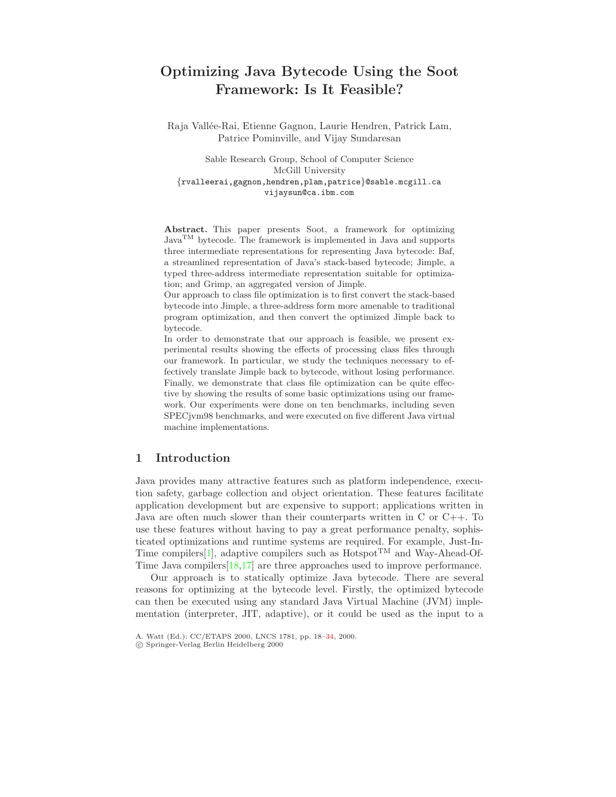# <span id="page-0-1"></span><span id="page-0-0"></span>**Optimizing Java Bytecode Using the Soot Framework: Is It Feasible?**

Raja Vallée-Rai, Etienne Gagnon, Laurie Hendren, Patrick Lam, Patrice Pominville, and Vijay Sundaresan

Sable Research Group, School of Computer Science McGill University *{*rvalleerai,gagnon,hendren,plam,patrice*}*@sable.mcgill.ca vijaysun@ca.ibm.com

**Abstract.** This paper presents Soot, a framework for optimizing  $\rm Java^{TM}$  bytecode. The framework is implemented in Java and supports three intermediate representations for representing Java bytecode: Baf, a streamlined representation of Java's stack-based bytecode; Jimple, a typed three-address intermediate representation suitable for optimization; and Grimp, an aggregated version of Jimple.

Our approach to class file optimization is to first convert the stack-based bytecode into Jimple, a three-address form more amenable to traditional program optimization, and then convert the optimized Jimple back to bytecode.

In order to demonstrate that our approach is feasible, we present experimental results showing the effects of processing class files through our framework. In particular, we study the techniques necessary to effectively translate Jimple back to bytecode, without losing performance. Finally, we demonstrate that class file optimization can be quite effective by showing the results of some basic optimizations using our framework. Our experiments were done on ten benchmarks, including seven SPEC jvm98 benchmarks, and were executed on five different Java virtual machine implementations.

### **1 Introduction**

Java provides many attractive features such as platform independence, execution safety, garbage collection and object orientation. These features facilitate application development but are expensive to support; applications written in Java are often much slower than their counterparts written in C or  $C_{++}$ . To use these features without having to pay a great performance penalty, sophisticated optimizations and runtime systems are required. For example, Just-In-Time compilers<sup>[\[1\]](#page-15-0)</sup>, adaptive compilers such as  $Hotspot^{TM}$  and Way-Ahead-Of-Time Java compilers[\[18](#page-16-0)[,17\]](#page-16-1) are three approaches used to improve performance.

Our approach is to statically optimize Java bytecode. There are several reasons for optimizing at the bytecode level. Firstly, the optimized bytecode can then be executed using any standard Java Virtual Machine (JVM) implementation (interpreter, JIT, adaptive), or it could be used as the input to a

c Springer-Verlag Berlin Heidelberg 2000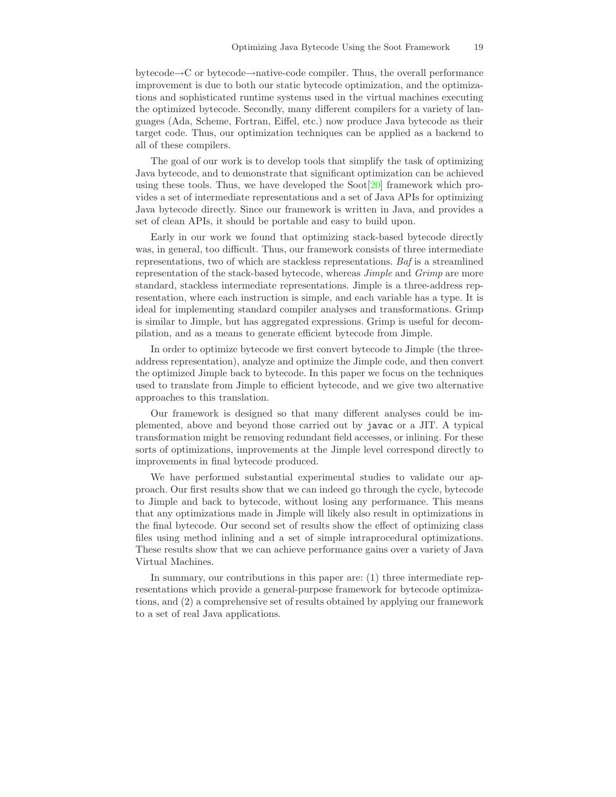<span id="page-1-0"></span>bytecode→C or bytecode→native-code compiler. Thus, the overall performance improvement is due to both our static bytecode optimization, and the optimizations and sophisticated runtime systems used in the virtual machines executing the optimized bytecode. Secondly, many different compilers for a variety of languages (Ada, Scheme, Fortran, Eiffel, etc.) now produce Java bytecode as their target code. Thus, our optimization techniques can be applied as a backend to all of these compilers.

The goal of our work is to develop tools that simplify the task of optimizing Java bytecode, and to demonstrate that significant optimization can be achieved using these tools. Thus, we have developed the  $Soot[20]$  $Soot[20]$  framework which provides a set of intermediate representations and a set of Java APIs for optimizing Java bytecode directly. Since our framework is written in Java, and provides a set of clean APIs, it should be portable and easy to build upon.

Early in our work we found that optimizing stack-based bytecode directly was, in general, too difficult. Thus, our framework consists of three intermediate representations, two ofwhich are stackless representations. *Baf* is a streamlined representation of the stack-based bytecode, whereas *Jimple* and *Grimp* are more standard, stackless intermediate representations. Jimple is a three-address representation, where each instruction is simple, and each variable has a type. It is ideal for implementing standard compiler analyses and transformations. Grimp is similar to Jimple, but has aggregated expressions. Grimp is useful for decompilation, and as a means to generate efficient bytecode from Jimple.

In order to optimize bytecode we first convert bytecode to Jimple (the threeaddress representation), analyze and optimize the Jimple code, and then convert the optimized Jimple back to bytecode. In this paper we focus on the techniques used to translate from Jimple to efficient bytecode, and we give two alternative approaches to this translation.

Our framework is designed so that many different analyses could be implemented, above and beyond those carried out by javac or a JIT. A typical transformation might be removing redundant field accesses, or inlining. For these sorts of optimizations, improvements at the Jimple level correspond directly to improvements in final bytecode produced.

We have performed substantial experimental studies to validate our approach. Our first results show that we can indeed go through the cycle, bytecode to Jimple and back to bytecode, without losing any performance. This means that any optimizations made in Jimple will likely also result in optimizations in the final bytecode. Our second set of results show the effect of optimizing class files using method inlining and a set of simple intraprocedural optimizations. These results show that we can achieve performance gains over a variety of Java Virtual Machines.

In summary, our contributions in this paper are: (1) three intermediate representations which provide a general-purpose framework for bytecode optimizations, and  $(2)$  a comprehensive set of results obtained by applying our framework to a set of real Java applications.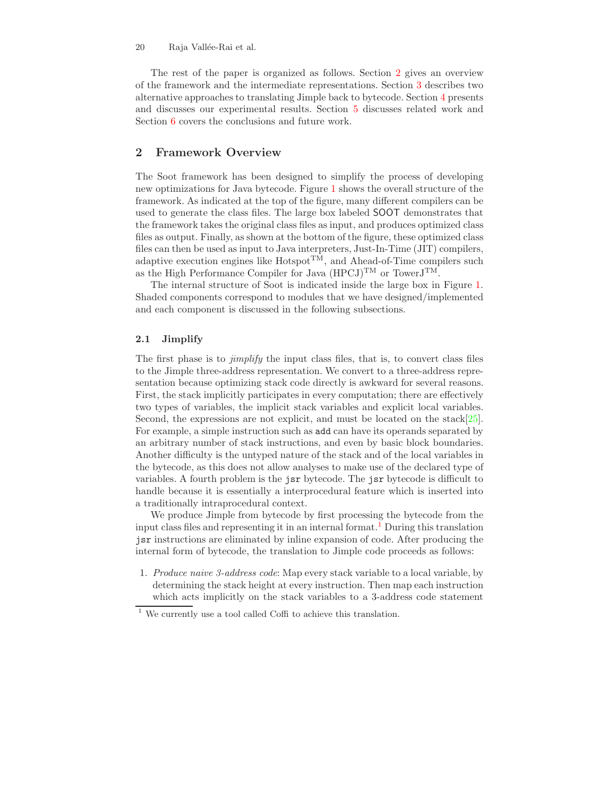<span id="page-2-2"></span>The rest of the paper is organized as follows. Section [2](#page-2-0) gives an overview ofthe framework and the intermediate representations. Section [3](#page-5-0) describes two alternative approaches to translating Jimple back to bytecode. Section [4](#page-10-0) presents and discusses our experimental results. Section [5](#page-12-0) discusses related work and Section [6](#page-15-1) covers the conclusions and future work.

### <span id="page-2-0"></span>**2 Framework Overview**

The Soot framework has been designed to simplify the process of developing new optimizations for Java bytecode. Figure [1](#page-3-0) shows the overall structure of the framework. As indicated at the top of the figure, many different compilers can be used to generate the class files. The large box labeled SOOT demonstrates that the framework takes the original class files as input, and produces optimized class files as output. Finally, as shown at the bottom of the figure, these optimized class files can then be used as input to Java interpreters, Just-In-Time (JIT) compilers, adaptive execution engines like  $H$ otspot $T^{\hat{M}}$ , and Ahead-of-Time compilers such as the High Performance Compiler for Java  $(HPCJ)^{TM}$  or Tower $J^{TM}$ .

The internal structure of Soot is indicated inside the large box in Figure [1.](#page-3-0) Shaded components correspond to modules that we have designed/implemented and each component is discussed in the following subsections.

#### **2.1 Jimplify**

<span id="page-2-1"></span>The first phase is to *jimplify* the input class files, that is, to convert class files to the Jimple three-address representation. We convert to a three-address representation because optimizing stack code directly is awkward for several reasons. First, the stack implicitly participates in every computation; there are effectively two types of variables, the implicit stack variables and explicit local variables. Second, the expressions are not explicit, and must be located on the stack $[25]$ . For example, a simple instruction such as add can have its operands separated by an arbitrary number of stack instructions, and even by basic block boundaries. Another difficulty is the untyped nature of the stack and of the local variables in the bytecode, as this does not allow analyses to make use ofthe declared type of variables. A fourth problem is the jsr bytecode. The jsr bytecode is difficult to handle because it is essentially a interprocedural feature which is inserted into a traditionally intraprocedural context.

We produce Jimple from bytecode by first processing the bytecode from the input class files and representing it in an internal format.[1](#page-2-1) During this translation jsr instructions are eliminated by inline expansion ofcode. After producing the internal form of bytecode, the translation to Jimple code proceeds as follows:

1. *Produce naive 3-address code*: Map every stack variable to a local variable, by determining the stack height at every instruction. Then map each instruction which acts implicitly on the stack variables to a 3-address code statement

 $1$  We currently use a tool called Coffi to achieve this translation.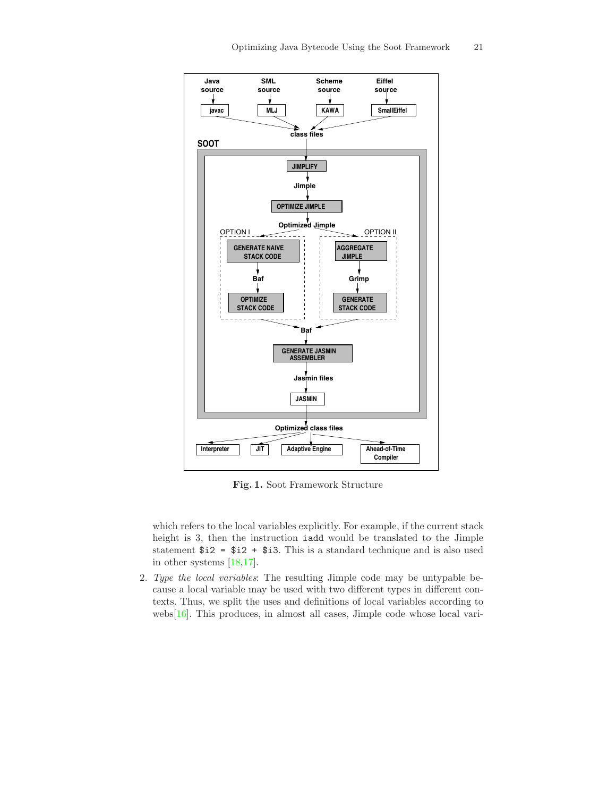<span id="page-3-1"></span>

<span id="page-3-0"></span>**Fig. 1.** Soot Framework Structure

which refers to the local variables explicitly. For example, if the current stack height is 3, then the instruction iadd would be translated to the Jimple statement  $i2 = 12 + 12$ . This is a standard technique and is also used in other systems [\[18,](#page-16-5)[17\]](#page-16-6).

2. *Type the local variables*: The resulting Jimple code may be untypable because a local variable may be used with two different types in different contexts. Thus, we split the uses and definitions of local variables according to webs<sup>[\[16\]](#page-16-7)</sup>. This produces, in almost all cases, Jimple code whose local vari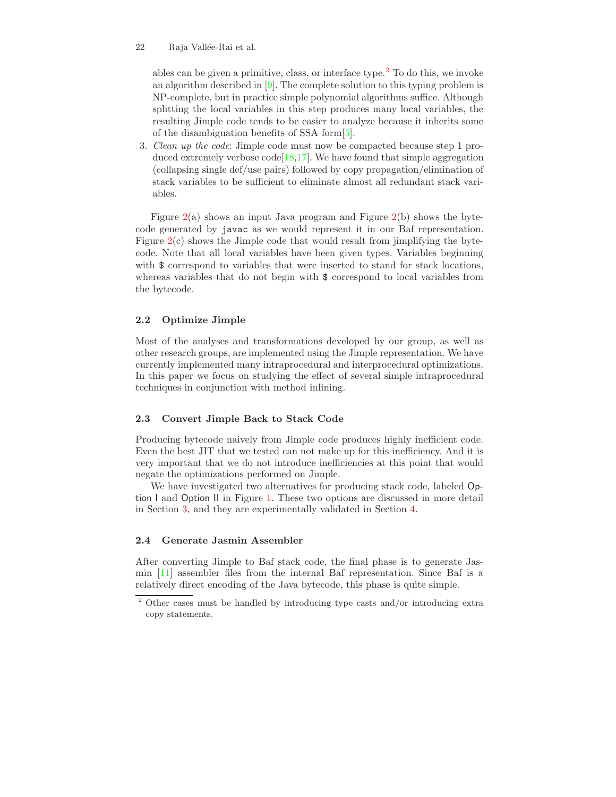<span id="page-4-2"></span><span id="page-4-1"></span>ables can be given a primitive, class, or interface type.<sup>[2](#page-4-0)</sup> To do this, we invoke an algorithm described in [\[9\]](#page-16-8). The complete solution to this typing problem is NP-complete, but in practice simple polynomial algorithms suffice. Although splitting the local variables in this step produces many local variables, the resulting Jimple code tends to be easier to analyze because it inherits some of the disambiguation benefits of SSA form[\[5\]](#page-15-2).

3. *Clean up the code*: Jimple code must now be compacted because step 1 produced extremely verbose  $\text{code}[18,17]$  $\text{code}[18,17]$  $\text{code}[18,17]$ . We have found that simple aggregation (collapsing single def/use pairs) followed by copy propagation/elimination of stack variables to be sufficient to eliminate almost all redundant stack variables.

Figure  $2(a)$  $2(a)$  shows an input Java program and Figure  $2(b)$  shows the bytecode generated by javac as we would represent it in our Baf representation. Figure  $2(c)$  $2(c)$  shows the Jimple code that would result from jimplifying the bytecode. Note that all local variables have been given types. Variables beginning with  $\frac{1}{2}$  correspond to variables that were inserted to stand for stack locations, whereas variables that do not begin with \$ correspond to local variables from the bytecode.

### **2.2 Optimize Jimple**

Most of the analyses and transformations developed by our group, as well as other research groups, are implemented using the Jimple representation. We have currently implemented many intraprocedural and interprocedural optimizations. In this paper we focus on studying the effect of several simple intraprocedural techniques in conjunction with method inlining.

### <span id="page-4-0"></span>**2.3 Convert Jimple Back to Stack Code**

Producing bytecode naively from Jimple code produces highly inefficient code. Even the best JIT that we tested can not make up for this inefficiency. And it is very important that we do not introduce inefficiencies at this point that would negate the optimizations performed on Jimple.

We have investigated two alternatives for producing stack code, labeled Option I and Option II in Figure [1.](#page-3-0) These two options are discussed in more detail in Section [3,](#page-5-0) and they are experimentally validated in Section [4.](#page-10-0)

### **2.4 Generate Jasmin Assembler**

After converting Jimple to Baf stack code, the final phase is to generate Jasmin  $[11]$  assembler files from the internal Baf representation. Since Baf is a relatively direct encoding of the Java bytecode, this phase is quite simple.

<sup>2</sup> Other cases must be handled by introducing type casts and/or introducing extra copy statements.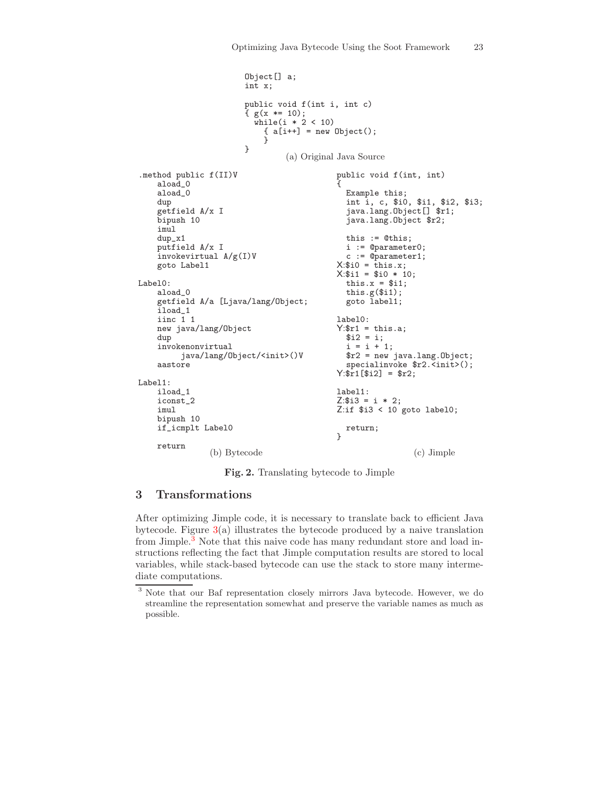```
Object[] a;
                       int x;
                       public void f(int i, int c)
                       {g(x *= 10)};while(i * 2 < 10)
                           {a[i++]} = new Object();
                            }
                       }
                                (a) Original Java Source
.method public f(II)V
    aload_0
    aload_0
    dup
    getfield A/x I
    bipush 10
    imul
    dup_x1
    putfield A/x I
    invokevirtual A/g(I)V
    goto Label1
Label0:
    aload_0
    getfield A/a [Ljava/lang/Object;
    iload_1
    iinc 1 1
    new java/lang/Object
    dup
    invokenonvirtual
         java/lang/Object/<init>()V
    aastore
Label1:
    iload_1
    iconst_2
    imul
    bipush 10
    if_icmplt Label0
    return
                                           public void f(int, int)
                                            {
                                             Example this;
                                              int i, c, $i0, $i1, $i2, $i3;
                                              java.lang.Object[] $r1;
                                             java.lang.Object $r2;
                                             this := @this;
                                             i := @parameter0;
                                              c := @parameter1;
                                           X:\$i0 = this.x;X: $11 = $10 * 10:
                                             this.x = $i1:
                                             this.g(i1);
                                             goto label1;
                                           label0:
                                            Y:\r1 = this.a;
                                             $i2 = i;i = i + 1;$r2 = new java.lang.Object;
                                              specialinvoke $r2.<init>();
                                           Y:\frac{\pi}{1}[\frac{\pi}{3}] = \frac{\pi}{3}label1:
                                           Z:\$i3 = i * 2;Z:if $i3 < 10 goto label0;
                                             return;
                                           }
               (b) Bytecode (c) Jimple
```
**Fig. 2.** Translating bytecode to Jimple

### <span id="page-5-2"></span><span id="page-5-0"></span>**3 Transformations**

After optimizing Jimple code, it is necessary to translate back to efficient Java bytecode. Figure  $3(a)$  $3(a)$  illustrates the bytecode produced by a naive translation from Jimple.<sup>[3](#page-5-2)</sup> Note that this naive code has many redundant store and load instructions reflecting the fact that Jimple computation results are stored to local variables, while stack-based bytecode can use the stack to store many intermediate computations.

<sup>&</sup>lt;sup>3</sup> Note that our Baf representation closely mirrors Java bytecode. However, we do streamline the representation somewhat andpreserve the variable names as much as possible.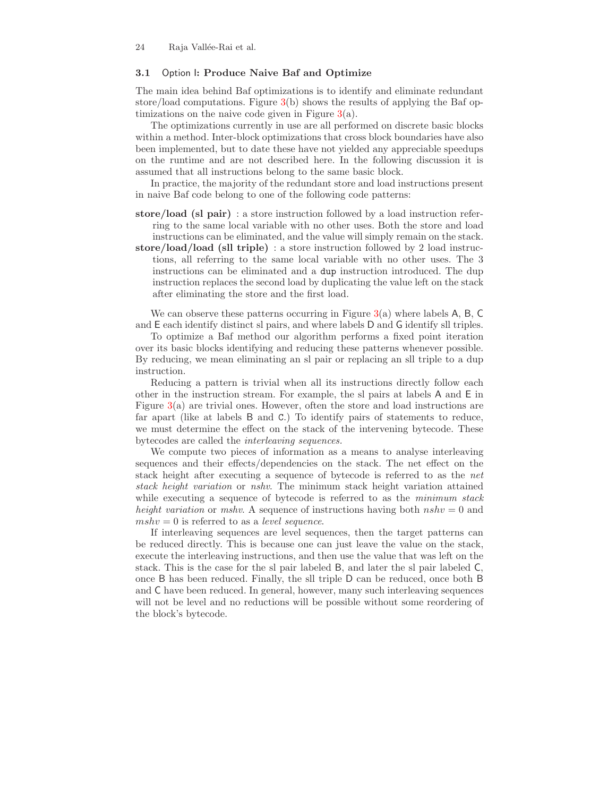#### **3.1** Option I**: Produce Naive Baf and Optimize**

The main idea behind Bafoptimizations is to identify and eliminate redundant store/load computations. Figure  $3(b)$  $3(b)$  shows the results of applying the Baf optimizations on the naive code given in Figure  $3(a)$  $3(a)$ .

The optimizations currently in use are all performed on discrete basic blocks within a method. Inter-block optimizations that cross block boundaries have also been implemented, but to date these have not yielded any appreciable speedups on the runtime and are not described here. In the following discussion it is assumed that all instructions belong to the same basic block.

In practice, the majority of the redundant store and load instructions present in naive Baf code belong to one of the following code patterns:

- **store/load (sl pair)** : a store instruction followed by a load instruction referring to the same local variable with no other uses. Both the store and load instructions can be eliminated, and the value will simply remain on the stack.
- **store/load/load (sll triple)** : a store instruction followed by 2 load instructions, all referring to the same local variable with no other uses. The 3 instructions can be eliminated and a dup instruction introduced. The dup instruction replaces the second load by duplicating the value left on the stack after eliminating the store and the first load.

We can observe these patterns occurring in Figure  $3(a)$  $3(a)$  where labels A, B, C and E each identify distinct sl pairs, and where labels D and G identify sll triples.

To optimize a Bafmethod our algorithm performs a fixed point iteration over its basic blocks identifying and reducing these patterns whenever possible. By reducing, we mean eliminating an sl pair or replacing an sll triple to a dup instruction.

Reducing a pattern is trivial when all its instructions directly follow each other in the instruction stream. For example, the sl pairs at labels A and E in Figure [3\(](#page-7-1)a) are trivial ones. However, often the store and load instructions are far apart (like at labels B and C.) To identify pairs of statements to reduce, we must determine the effect on the stack of the intervening bytecode. These bytecodes are called the *interleaving sequences.*

We compute two pieces of information as a means to analyse interleaving sequences and their effects/dependencies on the stack. The net effect on the stack height after executing a sequence of bytecode is referred to as the *net stack height variation* or *nshv*. The minimum stack height variation attained while executing a sequence of bytecode is referred to as the *minimum stack height variation* or *mshv*. A sequence of instructions having both  $nshv = 0$  and *mshv* = 0 is referred to as a *level sequence*.

If interleaving sequences are level sequences, then the target patterns can be reduced directly. This is because one can just leave the value on the stack, execute the interleaving instructions, and then use the value that was left on the stack. This is the case for the sl pair labeled B, and later the sl pair labeled C, once B has been reduced. Finally, the sll triple D can be reduced, once both B and C have been reduced. In general, however, many such interleaving sequences will not be level and no reductions will be possible without some reordering of the block's bytecode.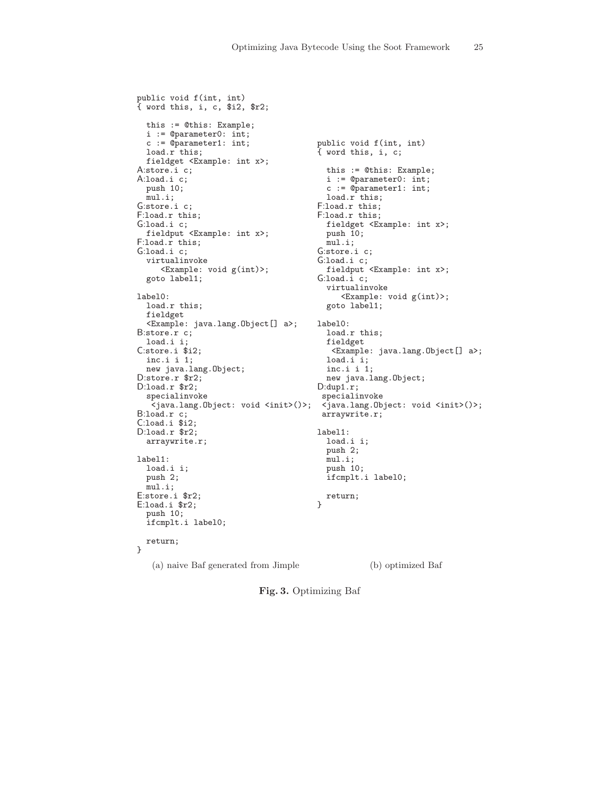```
public void f(int, int)
\overline{\textbf{y}} word this, i, c, $i2, $r2;
  this := @this: Example;
  i := @parameter0: int;
  c := @parameter1: int;
  load.r this;
 fieldget <Example: int x>;
A:store.i c;
A:load.i c;
 push 10;
 mul.i;
G:store.i c;
F:load.r this;
G:load.i c;
  fieldput <Example: int x>;
F:load.r this;
G:load.i c;
  virtualinvoke
     <Example: void g(int)>;
  goto label1;
label0:
 load.r this;
  fieldget
  <Example: java.lang.Object[] a>;
B:store.r c;
  load.i i;
C:store.i $i2;
 inc.i i 1;
  new java.lang.Object;
D:store.r $r2;
D:load.r $r2;
  specialinvoke
   <java.lang.Object: void <init>()>;
<java.lang.Object: void <init>()>;
B:load.r c;
C:load.i $i2;
D:load.r $r2;
  arraywrite.r;
label1:
 load.i i;
 push 2;
 mul.i;
E:store.i $r2;
E:load.i $r2;
  push 10;
  ifcmplt.i label0;
  return;
}
                                        public void f(int, int)
                                        { word this, i, c;
                                          this := @this: Example;
                                          i := @parameter0: int;
                                          c := @parameter1: int;
                                          load.r this;
                                        F:load.r this;
                                        F:load.r this;
                                         fieldget <Example: int x>;
                                         push 10;
                                         mul.i;
                                        G:store.i c;
                                        G:load.i c;
                                          fieldput <Example: int x>;
                                        G:load.i c;
                                          virtualinvoke
                                             <Example: void g(int)>;
                                          goto label1;
                                        label0:
                                          load.r this;
                                          fieldget
                                           <Example: java.lang.Object[] a>;
                                          load.i i;
                                          inc.i i 1;
                                          new java.lang.Object;
                                        D:dup1.r;
                                        specialinvoke
                                         arraywrite.r;
                                        label1:
                                          load.i i;
                                          push 2;
                                          mul.i;
                                          push 10;
                                          ifcmplt.i label0;
                                          return;
                                        }
```
<span id="page-7-1"></span><span id="page-7-0"></span>(a) naive Baf generated from Jimple (b) optimized Baf

#### **Fig. 3.** Optimizing Baf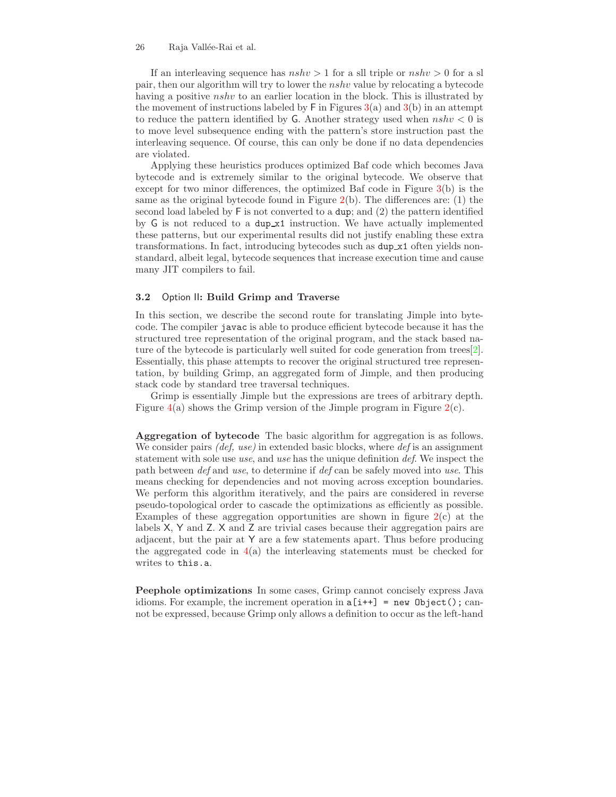<span id="page-8-0"></span>If an interleaving sequence has  $nshv > 1$  for a sll triple or  $nshv > 0$  for a sl pair, then our algorithm will try to lower the *nshv* value by relocating a bytecode having a positive *nshv* to an earlier location in the block. This is illustrated by the movement of instructions labeled by  $\overline{F}$  in Figures [3\(](#page-7-1)a) and 3(b) in an attempt to reduce the pattern identified by  $\mathsf G$ . Another strategy used when  $nshv < 0$  is to move level subsequence ending with the pattern's store instruction past the interleaving sequence. Of course, this can only be done if no data dependencies are violated.

Applying these heuristics produces optimized Bafcode which becomes Java bytecode and is extremely similar to the original bytecode. We observe that except for two minor differences, the optimized Baf code in Figure [3\(](#page-7-1)b) is the same as the original bytecode found in Figure  $2(b)$  $2(b)$ . The differences are: (1) the second load labeled by F is not converted to a dup; and (2) the pattern identified by  $G$  is not reduced to a  $\text{dup\_x1}$  instruction. We have actually implemented these patterns, but our experimental results did not justify enabling these extra transformations. In fact, introducing bytecodes such as  $\text{dup\_x1}$  often yields nonstandard, albeit legal, bytecode sequences that increase execution time and cause many JIT compilers to fail.

#### **3.2** Option II**: Build Grimp and Traverse**

In this section, we describe the second route for translating Jimple into bytecode. The compiler javac is able to produce efficient bytecode because it has the structured tree representation of the original program, and the stack based nature of the bytecode is particularly well suited for code generation from trees[\[2\]](#page-15-3). Essentially, this phase attempts to recover the original structured tree representation, by building Grimp, an aggregated form of Jimple, and then producing stack code by standard tree traversal techniques.

Grimp is essentially Jimple but the expressions are trees of arbitrary depth. Figure  $4(a)$  $4(a)$  shows the Grimp version of the Jimple program in Figure  $2(c)$  $2(c)$ .

**Aggregation of bytecode** The basic algorithm for aggregation is as follows. We consider pairs *(def, use)* in extended basic blocks, where *def* is an assignment statement with sole use *use*, and *use* has the unique definition *def*. We inspect the path between *def* and *use*, to determine if *def* can be safely moved into *use*. This means checking for dependencies and not moving across exception boundaries. We perform this algorithm iteratively, and the pairs are considered in reverse pseudo-topological order to cascade the optimizations as efficiently as possible. Examples of these aggregation opportunities are shown in figure  $2(c)$  $2(c)$  at the labels X, Y and Z. X and Z are trivial cases because their aggregation pairs are adjacent, but the pair at Y are a few statements apart. Thus before producing the aggregated code in  $4(a)$  $4(a)$  the interleaving statements must be checked for writes to this.a.

**Peephole optimizations** In some cases, Grimp cannot concisely express Java idioms. For example, the increment operation in  $a[i++] = new Object()$ ; cannot be expressed, because Grimp only allows a definition to occur as the left-hand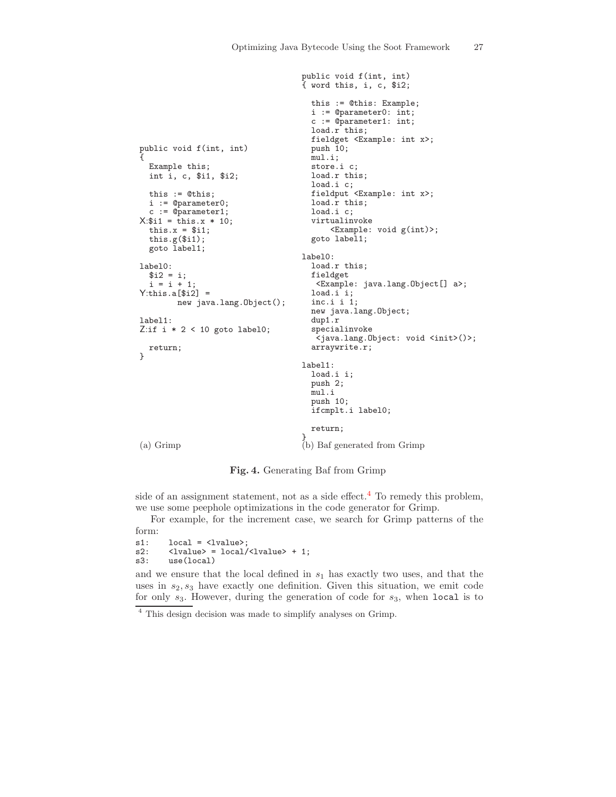```
public void f(int, int)
{
 Example this;
 int i, c, $i1, $i2;
 this := @this;
 i := @parameter0;
 c := @parameter1;
X:\i1 = this.x * 10;
 this.x = $i1;this.g($i1);
 goto label1;
label0:
 $i2 = i;i = i + 1;Y:this.a[si2] =new java.lang.Object();
label1:
Z:if i * 2 < 10 goto label0;
 return;
}
                                  public void f(int, int)
                                  { word this, i, c, $i2;
                                    this := @this: Example;
                                    i := @parameter0: int;
                                    c := @parameter1: int;
                                    load.r this;
                                   fieldget <Example: int x>;
                                   push 10;
                                   mul.i;
                                   store.i c;
                                   load.r this;
                                   load.i c;
                                   fieldput <Example: int x>;
                                   load.r this;
                                   load.i c;
                                   virtualinvoke
                                        <Example: void g(int)>;
                                   goto label1;
                                 label0:
                                    load.r this;
                                    fieldget
                                     <Example: java.lang.Object[] a>;
                                    load.i i;
                                    inc.i i 1;
                                    new java.lang.Object;
                                    dup1.r
                                    specialinvoke
                                     <java.lang.Object: void <init>()>;
                                    arraywrite.r;
                                  label1:
                                    load.i i;
                                    push 2;
                                    mul.i
                                    push 10;
                                    ifcmplt.i label0;
                                    return;
(a) Grimp (b) Baf generated from Grimp
```
**Fig. 4.** Generating Baf from Grimp

<span id="page-9-1"></span>side of an assignment statement, not as a side effect.<sup>[4](#page-9-1)</sup> To remedy this problem, we use some peephole optimizations in the code generator for Grimp.

For example, for the increment case, we search for Grimp patterns of the form:

s1: local =  $\langle \text{lvalue} \rangle$ ;<br>s2:  $\langle \text{lvalue} \rangle$  = local/  $s2:$   $\langle \text{Evaluate} \rangle = \text{local} / \langle \text{Value} \rangle + 1;$ <br> $s3:$  use(local) use(local)

and we ensure that the local defined in *s*<sup>1</sup> has exactly two uses, and that the uses in *s*2*, s*<sup>3</sup> have exactly one definition. Given this situation, we emit code for only  $s_3$ . However, during the generation of code for  $s_3$ , when local is to

<sup>4</sup> This design decision was made to simplify analyses on Grimp.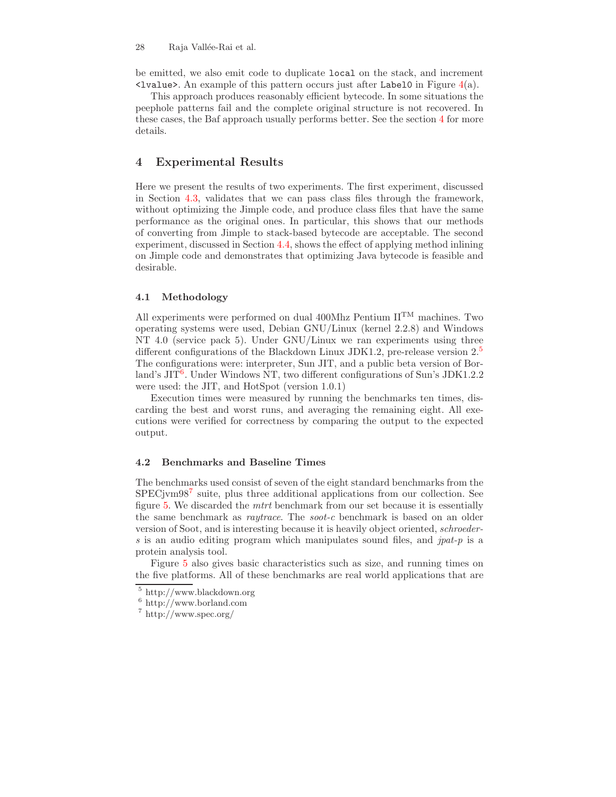be emitted, we also emit code to duplicate local on the stack, and increment  $\langle$ lvalue>. An example of this pattern occurs just after Label0 in Figure [4\(](#page-9-0)a).

This approach produces reasonably efficient bytecode. In some situations the peephole patterns fail and the complete original structure is not recovered. In these cases, the Baf approach usually performs better. See the section  $4$  for more details.

# <span id="page-10-0"></span>**4 Experimental Results**

Here we present the results of two experiments. The first experiment, discussed in Section [4.3,](#page-11-0) validates that we can pass class files through the framework, without optimizing the Jimple code, and produce class files that have the same performance as the original ones. In particular, this shows that our methods ofconverting from Jimple to stack-based bytecode are acceptable. The second experiment, discussed in Section  $4.4$ , shows the effect of applying method inlining on Jimple code and demonstrates that optimizing Java bytecode is feasible and desirable.

## **4.1 Methodology**

All experiments were performed on dual 400Mhz Pentium  $II^{TM}$  machines. Two operating systems were used, Debian GNU/Linux (kernel 2.2.8) and Windows NT 4.0 (service pack 5). Under GNU/Linux we ran experiments using three different configurations of the Blackdown Linux JDK1.2, pre-release version  $2.5$  $2.5$ The configurations were: interpreter, Sun JIT, and a public beta version of Borland's  $JIT<sup>6</sup>$  $JIT<sup>6</sup>$  $JIT<sup>6</sup>$ . Under Windows NT, two different configurations of Sun's  $JDK1.2.2$ were used: the JIT, and HotSpot (version 1.0.1)

<span id="page-10-3"></span><span id="page-10-2"></span><span id="page-10-1"></span>Execution times were measured by running the benchmarks ten times, discarding the best and worst runs, and averaging the remaining eight. All executions were verified for correctness by comparing the output to the expected output.

### **4.2 Benchmarks and Baseline Times**

The benchmarks used consist of seven of the eight standard benchmarks from the SPECjym98<sup>[7](#page-10-3)</sup> suite, plus three additional applications from our collection. See figure [5.](#page-13-0) We discarded the *mtrt* benchmark from our set because it is essentially the same benchmark as *raytrace*. The *soot-c* benchmark is based on an older version ofSoot, and is interesting because it is heavily object oriented, *schroeders* is an audio editing program which manipulates sound files, and *jpat-p* is a protein analysis tool.

Figure [5](#page-13-0) also gives basic characteristics such as size, and running times on the five platforms. All of these benchmarks are real world applications that are

<sup>5</sup> http://www.blackdown.org

<sup>6</sup> http://www.borland.com

<sup>7</sup> http://www.spec.org/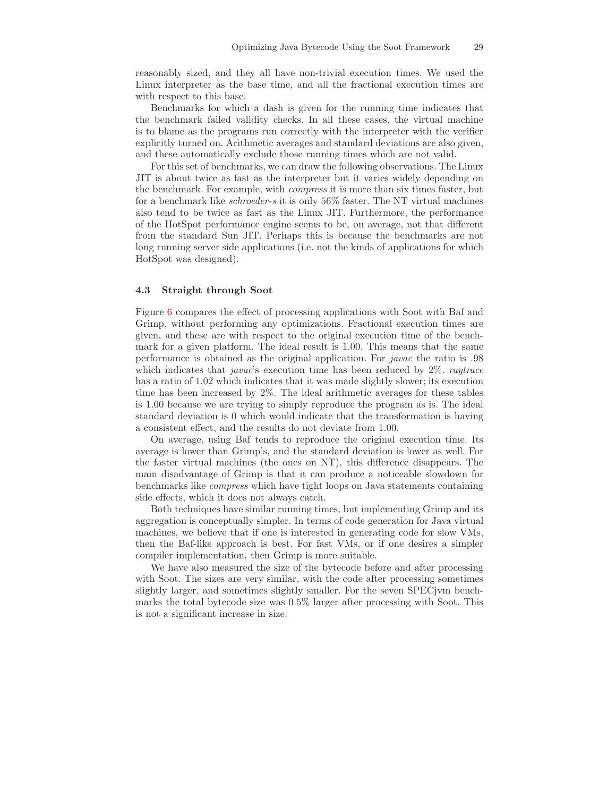reasonably sized, and they all have non-trivial execution times. We used the Linux interpreter as the base time, and all the fractional execution times are with respect to this base.

Benchmarks for which a dash is given for the running time indicates that the benchmark failed validity checks. In all these cases, the virtual machine is to blame as the programs run correctly with the interpreter with the verifier explicitly turned on. Arithmetic averages and standard deviations are also given, and these automatically exclude those running times which are not valid.

For this set of benchmarks, we can draw the following observations. The Linux JIT is about twice as fast as the interpreter but it varies widely depending on the benchmark. For example, with *compress* it is more than six times faster, but for a benchmark like *schroeder-s* it is only 56% faster. The NT virtual machines also tend to be twice as fast as the Linux JIT. Furthermore, the performance of the HotSpot performance engine seems to be, on average, not that different from the standard Sun JIT. Perhaps this is because the benchmarks are not long running server side applications (i.e. not the kinds of applications for which HotSpot was designed).

#### <span id="page-11-0"></span>**4.3 Straight through Soot**

Figure  $6$  compares the effect of processing applications with Soot with Baf and Grimp, without performing any optimizations. Fractional execution times are given, and these are with respect to the original execution time of the benchmark for a given platform. The ideal result is 1.00. This means that the same performance is obtained as the original application. For *javac* the ratio is .98 which indicates that *javac*'s execution time has been reduced by 2%. *raytrace* has a ratio of 1.02 which indicates that it was made slightly slower; its execution time has been increased by 2%. The ideal arithmetic averages for these tables is 1.00 because we are trying to simply reproduce the program as is. The ideal standard deviation is 0 which would indicate that the transformation is having a consistent effect, and the results do not deviate from 1.00.

On average, using Baftends to reproduce the original execution time. Its average is lower than Grimp's, and the standard deviation is lower as well. For the faster virtual machines (the ones on NT), this difference disappears. The main disadvantage of Grimp is that it can produce a noticeable slowdown for benchmarks like *compress* which have tight loops on Java statements containing side effects, which it does not always catch.

Both techniques have similar running times, but implementing Grimp and its aggregation is conceptually simpler. In terms of code generation for Java virtual machines, we believe that if one is interested in generating code for slow VMs, then the Baf-like approach is best. For fast VMs, or if one desires a simpler compiler implementation, then Grimp is more suitable.

We have also measured the size of the bytecode before and after processing with Soot. The sizes are very similar, with the code after processing sometimes slightly larger, and sometimes slightly smaller. For the seven SPECjvm benchmarks the total bytecode size was 0.5% larger after processing with Soot. This is not a significant increase in size.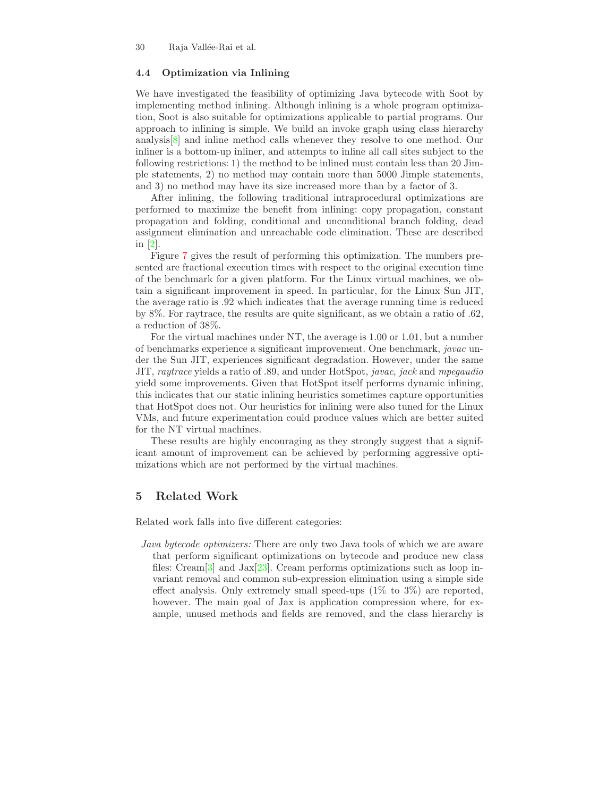#### <span id="page-12-3"></span><span id="page-12-2"></span><span id="page-12-1"></span>**4.4 Optimization via Inlining**

We have investigated the feasibility of optimizing Java bytecode with Soot by implementing method inlining. Although inlining is a whole program optimization, Soot is also suitable for optimizations applicable to partial programs. Our approach to inlining is simple. We build an invoke graph using class hierarchy analysis[\[8\]](#page-16-10) and inline method calls whenever they resolve to one method. Our inliner is a bottom-up inliner, and attempts to inline all call sites subject to the following restrictions: 1) the method to be inlined must contain less than 20 Jimple statements, 2) no method may contain more than 5000 Jimple statements, and 3) no method may have its size increased more than by a factor of 3.

After inlining, the following traditional intraprocedural optimizations are performed to maximize the benefit from inlining: copy propagation, constant propagation and folding, conditional and unconditional branch folding, dead assignment elimination and unreachable code elimination. These are described in [\[2\]](#page-15-3).

Figure [7](#page-14-0) gives the result of performing this optimization. The numbers presented are fractional execution times with respect to the original execution time of the benchmark for a given platform. For the Linux virtual machines, we obtain a significant improvement in speed. In particular, for the Linux Sun JIT, the average ratio is .92 which indicates that the average running time is reduced by 8%. For raytrace, the results are quite significant, as we obtain a ratio of.62, a reduction of 38%

For the virtual machines under NT, the average is 1.00 or 1.01, but a number of benchmarks experience a significant improvement. One benchmark, *javac* under the Sun JIT, experiences significant degradation. However, under the same JIT, *raytrace* yields a ratio of.89, and under HotSpot, *javac*, *jack* and *mpegaudio* yield some improvements. Given that HotSpot itself performs dynamic inlining, this indicates that our static inlining heuristics sometimes capture opportunities that HotSpot does not. Our heuristics for inlining were also tuned for the Linux VMs, and future experimentation could produce values which are better suited for the NT virtual machines.

<span id="page-12-0"></span>These results are highly encouraging as they strongly suggest that a significant amount of improvement can be achieved by performing aggressive optimizations which are not performed by the virtual machines.

### **5 Related Work**

Related work falls into five different categories:

*Java bytecode optimizers:* There are only two Java tools of which we are aware that perform significant optimizations on bytecode and produce new class files: Cream<sup>[\[3\]](#page-15-4)</sup> and Jax<sup>[\[23\]](#page-16-11)</sup>. Cream performs optimizations such as loop invariant removal and common sub-expression elimination using a simple side effect analysis. Only extremely small speed-ups (1% to 3%) are reported, however. The main goal of Jax is application compression where, for example, unused methods and fields are removed, and the class hierarchy is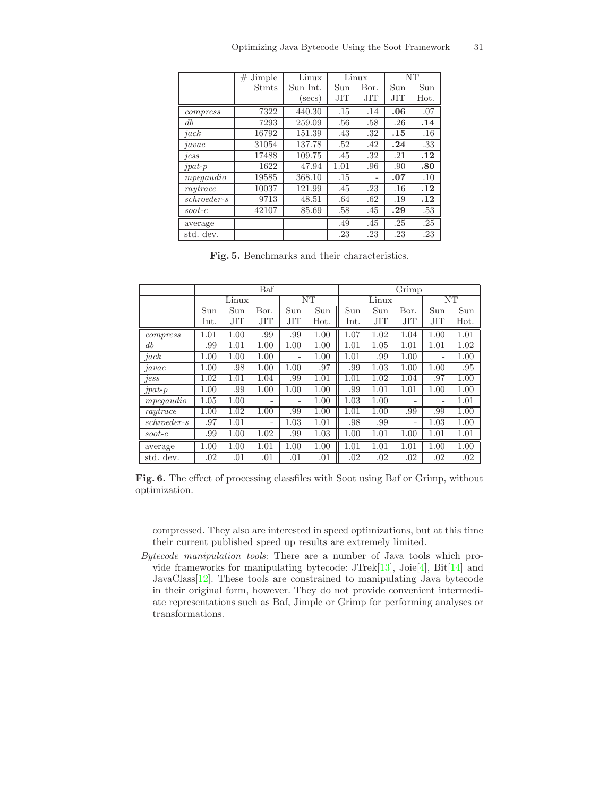<span id="page-13-3"></span><span id="page-13-2"></span><span id="page-13-0"></span>

|                   | Jimple<br>#  | Linux      | Linux |      | <b>NT</b> |      |
|-------------------|--------------|------------|-------|------|-----------|------|
|                   | <b>Stmts</b> | Sun Int.   | Sun   | Bor. | Sun       | Sun  |
|                   |              | $(\sec s)$ | ЛT    | JIT  | JIT       | Hot. |
| compress          | 7322         | 440.30     | .15   | .14  | .06       | .07  |
| db                | 7293         | 259.09     | .56   | .58  | .26       | .14  |
| iack              | 16792        | 151.39     | .43   | .32  | .15       | .16  |
| javac             | 31054        | 137.78     | .52   | .42  | .24       | .33  |
| jess              | 17488        | 109.75     | .45   | .32  | .21       | .12  |
| $ipat-p$          | 1622         | 47.94      | 1.01  | .96  | .90       | .80  |
| mpegaudio         | 19585        | 368.10     | .15   |      | .07       | .10  |
| raytrace          | 10037        | 121.99     | .45   | .23  | .16       | .12  |
| $schroeder-s$     | 9713         | 48.51      | .64   | .62  | .19       | .12  |
| $\mathit{soot-c}$ | 42107        | 85.69      | .58   | .45  | .29       | .53  |
| average           |              |            | .49   | .45  | .25       | .25  |
| std. dev.         |              |            | .23   | .23  | .23       | .23  |

**Fig. 5.** Benchmarks and their characteristics.

<span id="page-13-1"></span>

|                   | Baf   |      |            |      | Grimp |               |      |                          |            |      |
|-------------------|-------|------|------------|------|-------|---------------|------|--------------------------|------------|------|
|                   | Linux |      | NT         |      | Linux |               |      | NT                       |            |      |
|                   | Sun   | Sun  | Bor.       | Sun  | Sun   | Sun           | Sun  | Bor.                     | Sun        | Sun  |
|                   | Int.  | JIT  | <b>JIT</b> | ЛT   | Hot.  | $_{\rm Int.}$ | JIT  | JIT                      | <b>JIT</b> | Hot. |
| compress          | 1.01  | 1.00 | .99        | .99  | 1.00  | 1.07          | 1.02 | 1.04                     | 1.00       | 1.01 |
| db                | .99   | 1.01 | 1.00       | 1.00 | 1.00  | 1.01          | 1.05 | 1.01                     | 1.01       | 1.02 |
| jack              | 1.00  | 1.00 | 1.00       |      | 1.00  | 1.01          | .99  | 1.00                     |            | 1.00 |
| javac             | 1.00  | .98  | 1.00       | 1.00 | .97   | .99           | 1.03 | 1.00                     | 1.00       | .95  |
| jess              | 1.02  | 1.01 | 1.04       | .99  | 1.01  | 1.01          | 1.02 | 1.04                     | .97        | 1.00 |
| $ipat-p$          | 1.00  | .99  | 1.00       | 1.00 | 1.00  | .99           | 1.01 | 1.01                     | 1.00       | 1.00 |
| mpegaudio         | 1.05  | 1.00 | ٠          |      | 1.00  | 1.03          | 1.00 | $\overline{\phantom{0}}$ |            | 1.01 |
| raytrace          | 1.00  | 1.02 | 1.00       | .99  | 1.00  | 1.01          | 1.00 | .99                      | .99        | 1.00 |
| schroeder-s       | .97   | 1.01 | ۰          | 1.03 | 1.01  | .98           | .99  | $\overline{\phantom{a}}$ | 1.03       | 1.00 |
| $\mathit{soot-c}$ | .99   | 1.00 | 1.02       | .99  | 1.03  | 1.00          | 1.01 | 1.00                     | 1.01       | 1.01 |
| average           | 1.00  | 1.00 | 1.01       | 1.00 | 1.00  | 1.01          | 1.01 | 1.01                     | 1.00       | 1.00 |
| std. dev.         | .02   | .01  | .01        | .01  | .01   | .02           | .02  | .02                      | .02        | .02  |

Fig. 6. The effect of processing classfiles with Soot using Baf or Grimp, without optimization.

compressed. They also are interested in speed optimizations, but at this time their current published speed up results are extremely limited.

*Bytecode manipulation tools*: There are a number of Java tools which provide frameworks for manipulating bytecode: JTrek[\[13\]](#page-16-12), Joie[\[4\]](#page-15-5), Bit[\[14\]](#page-16-13) and JavaClass[\[12\]](#page-16-14). These tools are constrained to manipulating Java bytecode in their original form, however. They do not provide convenient intermediate representations such as Baf, Jimple or Grimp for performing analyses or transformations.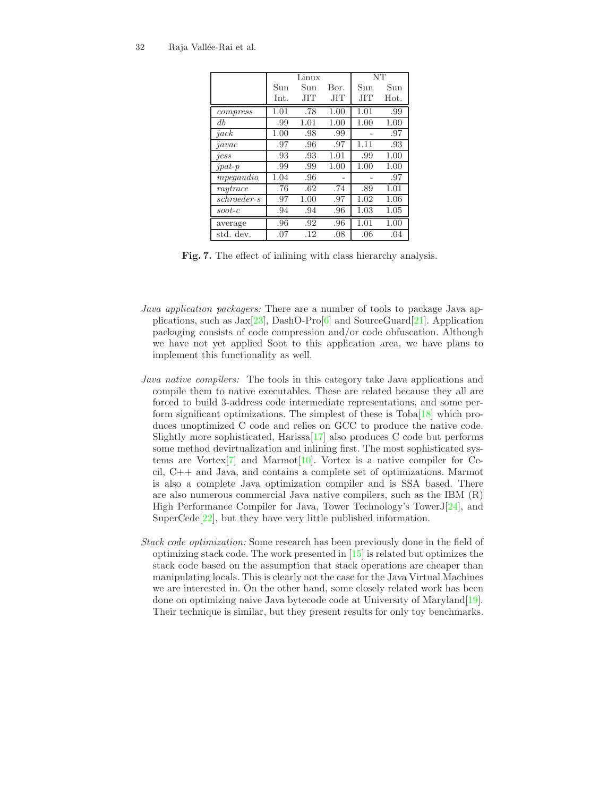<span id="page-14-2"></span><span id="page-14-1"></span><span id="page-14-0"></span>

|                 |      | Linux | <b>NT</b> |            |      |
|-----------------|------|-------|-----------|------------|------|
|                 | Sun  | Sun   | Bor.      | Sun        | Sun  |
|                 | Int. | ЛT    | JIT       | <b>JIT</b> | Hot. |
| compress        | 1.01 | .78   | 1.00      | 1.01       | .99  |
| db              | .99  | 1.01  | 1.00      | 1.00       | 1.00 |
| $\mathit{jack}$ | 1.00 | .98   | .99       |            | .97  |
| javac           | .97  | .96   | .97       | 1.11       | .93  |
| jess            | .93  | .93   | 1.01      | .99        | 1.00 |
| $ipat-p$        | .99  | .99   | 1.00      | 1.00       | 1.00 |
| mpegaudio       | 1.04 | .96   |           |            | .97  |
| rautrace        | .76  | .62   | .74       | .89        | 1.01 |
| $schroeder-s$   | .97  | 1.00  | .97       | 1.02       | 1.06 |
| $soot-c$        | .94  | .94   | .96       | 1.03       | 1.05 |
| average         | .96  | .92   | .96       | 1.01       | 1.00 |
| std. dev.       | .07  | .12   | .08       | .06        | .04  |

**Fig. 7.** The effect of inlining with class hierarchy analysis.

- *Java application packagers:* There are a number of tools to package Java applications, such as Jax[\[23\]](#page-16-11), DashO-Pro[\[6\]](#page-15-6) and SourceGuard[\[21\]](#page-16-15). Application packaging consists of code compression and/or code obfuscation. Although we have not yet applied Soot to this application area, we have plans to implement this functionality as well.
- *Java native compilers:* The tools in this category take Java applications and compile them to native executables. These are related because they all are forced to build 3-address code intermediate representations, and some perform significant optimizations. The simplest of these is Toba[\[18\]](#page-16-0) which produces unoptimized C code and relies on GCC to produce the native code. Slightly more sophisticated, Harissa[\[17\]](#page-16-1) also produces C code but performs some method devirtualization and inlining first. The most sophisticated systems are Vortex $[7]$  and Marmot $[10]$ . Vortex is a native compiler for Ce $cil, C++$  and Java, and contains a complete set of optimizations. Marmot is also a complete Java optimization compiler and is SSA based. There are also numerous commercial Java native compilers, such as the IBM (R) High Performance Compiler for Java, Tower Technology's TowerJ[\[24\]](#page-16-18), and SuperCede[\[22\]](#page-16-19), but they have very little published information.
- *Stack code optimization:* Some research has been previously done in the field of optimizing stack code. The work presented in [\[15\]](#page-16-20) is related but optimizes the stack code based on the assumption that stack operations are cheaper than manipulating locals. This is clearly not the case for the Java Virtual Machines we are interested in. On the other hand, some closely related work has been done on optimizing naive Java bytecode code at University of Maryland $[19]$ . Their technique is similar, but they present results for only toy benchmarks.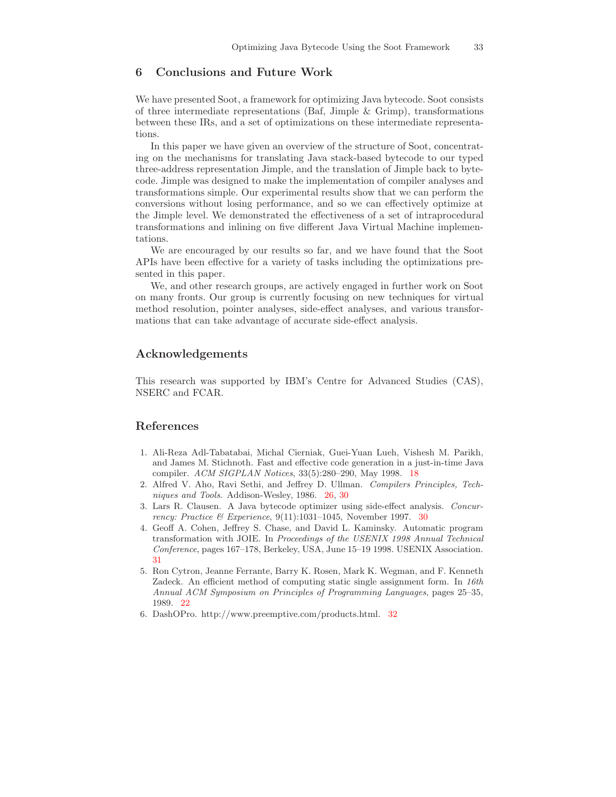# <span id="page-15-1"></span>**6 Conclusions and Future Work**

We have presented Soot, a framework for optimizing Java bytecode. Soot consists of three intermediate representations (Baf, Jimple  $\&$  Grimp), transformations between these IRs, and a set of optimizations on these intermediate representations.

In this paper we have given an overview of the structure of Soot, concentrating on the mechanisms for translating Java stack-based bytecode to our typed three-address representation Jimple, and the translation of Jimple back to bytecode. Jimple was designed to make the implementation of compiler analyses and transformations simple. Our experimental results show that we can perform the conversions without losing performance, and so we can effectively optimize at the Jimple level. We demonstrated the effectiveness of a set of intraprocedural transformations and inlining on five different Java Virtual Machine implementations.

We are encouraged by our results so far, and we have found that the Soot APIs have been effective for a variety of tasks including the optimizations presented in this paper.

We, and other research groups, are actively engaged in further work on Soot on many fronts. Our group is currently focusing on new techniques for virtual method resolution, pointer analyses, side-effect analyses, and various transformations that can take advantage of accurate side-effect analysis.

### **Acknowledgements**

This research was supported by IBM's Centre for Advanced Studies (CAS), NSERC and FCAR.

### <span id="page-15-3"></span><span id="page-15-0"></span>**References**

- 1. Ali-Reza Adl-Tabatabai, Michal Cierniak, Guei-Yuan Lueh, Vishesh M. Parikh, andJames M. Stichnoth. Fast andeffective code generation in a just-in-time Java compiler. *ACM SIGPLAN Notices*, 33(5):280–290, May 1998. [18](#page-0-0)
- <span id="page-15-4"></span>2. Alfred V. Aho, Ravi Sethi, and Jeffrey D. Ullman. *Compilers Principles, Techniques and Tools*. Addison-Wesley, 1986. [26,](#page-8-0) [30](#page-12-2)
- <span id="page-15-5"></span>3. Lars R. Clausen. A Java bytecode optimizer using side-effect analysis. *Concurrency: Practice & Experience*, 9(11):1031–1045, November 1997. [30](#page-12-2)
- <span id="page-15-2"></span>4. Geoff A. Cohen, Jeffrey S. Chase, and David L. Kaminsky. Automatic program transformation with JOIE. In *Proceedings of the USENIX 1998 Annual Technical Conference*, pages 167–178, Berkeley, USA, June 15–19 1998. USENIX Association. [31](#page-13-2)
- <span id="page-15-6"></span>5. Ron Cytron, Jeanne Ferrante, Barry K. Rosen, Mark K. Wegman, and F. Kenneth Zadeck. An efficient method of computing static single assignment form. In *16th Annual ACM Symposium on Principles of Programming Languages*, pages 25–35, 1989. [22](#page-4-1)
- 6. DashOPro. http://www.preemptive.com/products.html. [32](#page-14-1)